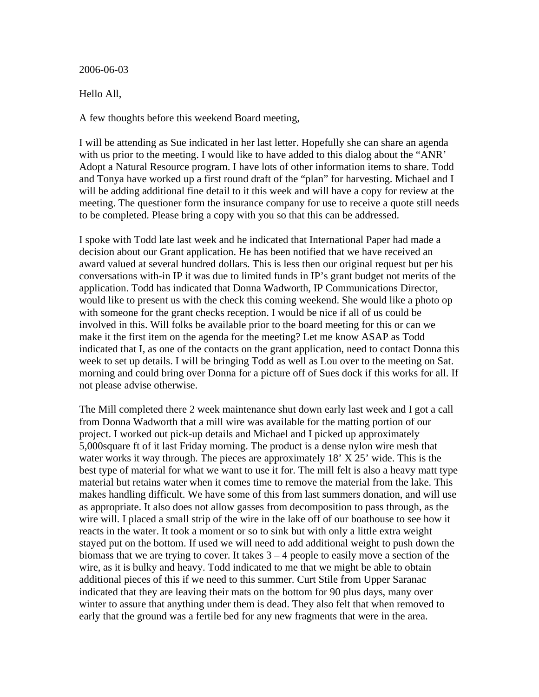## 2006-06-03

Hello All,

A few thoughts before this weekend Board meeting,

I will be attending as Sue indicated in her last letter. Hopefully she can share an agenda with us prior to the meeting. I would like to have added to this dialog about the "ANR" Adopt a Natural Resource program. I have lots of other information items to share. Todd and Tonya have worked up a first round draft of the "plan" for harvesting. Michael and I will be adding additional fine detail to it this week and will have a copy for review at the meeting. The questioner form the insurance company for use to receive a quote still needs to be completed. Please bring a copy with you so that this can be addressed.

I spoke with Todd late last week and he indicated that International Paper had made a decision about our Grant application. He has been notified that we have received an award valued at several hundred dollars. This is less then our original request but per his conversations with-in IP it was due to limited funds in IP's grant budget not merits of the application. Todd has indicated that Donna Wadworth, IP Communications Director, would like to present us with the check this coming weekend. She would like a photo op with someone for the grant checks reception. I would be nice if all of us could be involved in this. Will folks be available prior to the board meeting for this or can we make it the first item on the agenda for the meeting? Let me know ASAP as Todd indicated that I, as one of the contacts on the grant application, need to contact Donna this week to set up details. I will be bringing Todd as well as Lou over to the meeting on Sat. morning and could bring over Donna for a picture off of Sues dock if this works for all. If not please advise otherwise.

The Mill completed there 2 week maintenance shut down early last week and I got a call from Donna Wadworth that a mill wire was available for the matting portion of our project. I worked out pick-up details and Michael and I picked up approximately 5,000square ft of it last Friday morning. The product is a dense nylon wire mesh that water works it way through. The pieces are approximately 18' X 25' wide. This is the best type of material for what we want to use it for. The mill felt is also a heavy matt type material but retains water when it comes time to remove the material from the lake. This makes handling difficult. We have some of this from last summers donation, and will use as appropriate. It also does not allow gasses from decomposition to pass through, as the wire will. I placed a small strip of the wire in the lake off of our boathouse to see how it reacts in the water. It took a moment or so to sink but with only a little extra weight stayed put on the bottom. If used we will need to add additional weight to push down the biomass that we are trying to cover. It takes  $3 - 4$  people to easily move a section of the wire, as it is bulky and heavy. Todd indicated to me that we might be able to obtain additional pieces of this if we need to this summer. Curt Stile from Upper Saranac indicated that they are leaving their mats on the bottom for 90 plus days, many over winter to assure that anything under them is dead. They also felt that when removed to early that the ground was a fertile bed for any new fragments that were in the area.